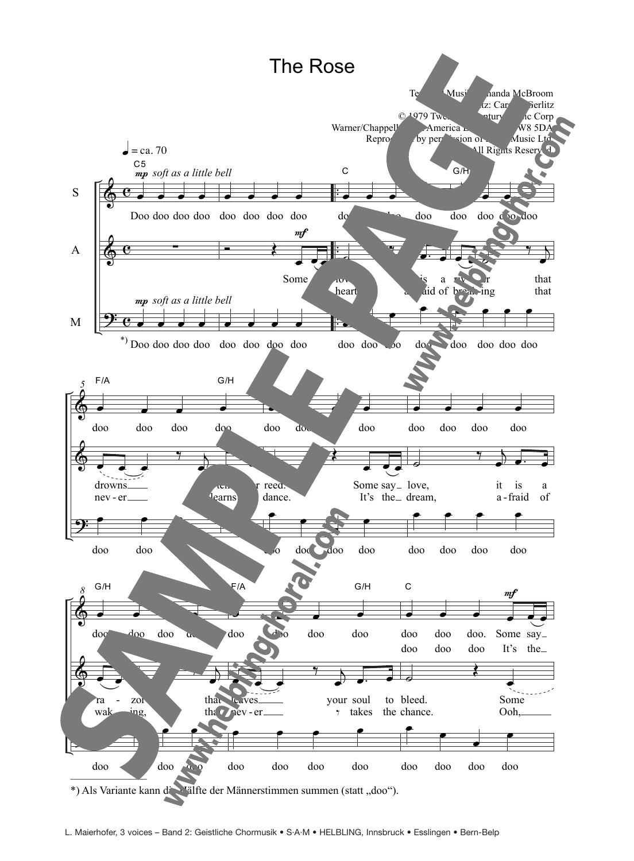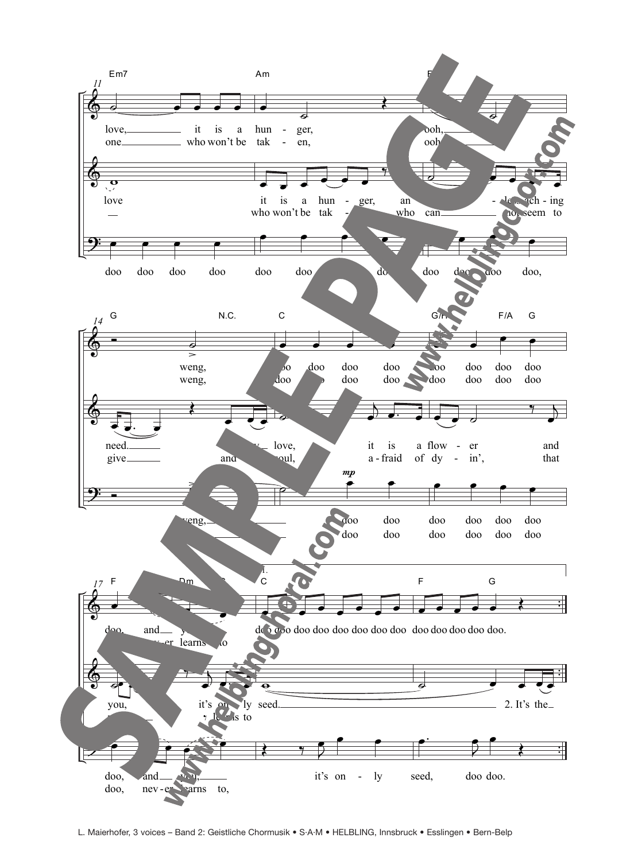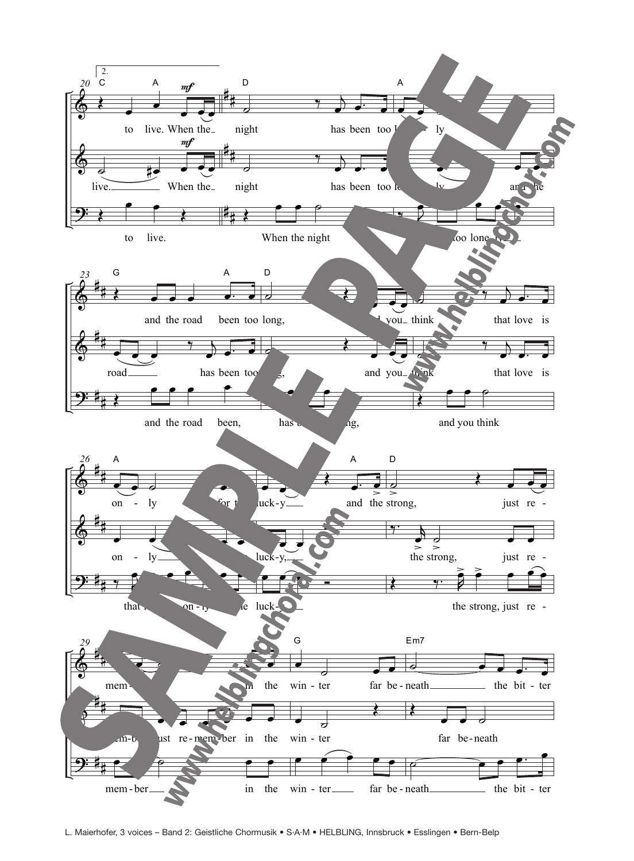